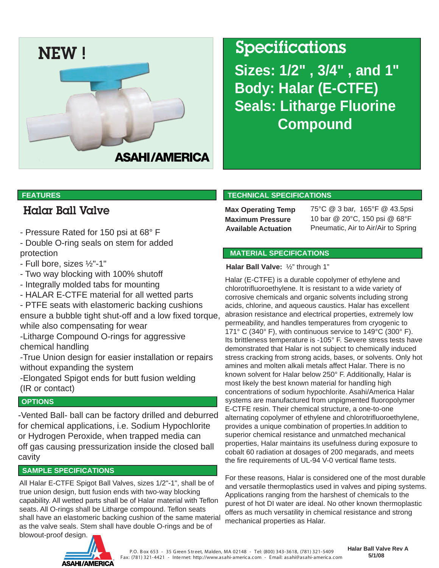

# **Sizes: 1/2" , 3/4" , and 1" Body: Halar (E-CTFE) Seals: Litharge Fluorine Compound**

## Halar Ball Valve

- Pressure Rated for 150 psi at 68° F
- Double O-ring seals on stem for added protection
- Full bore, sizes ½"-1"
- Two way blocking with 100% shutoff
- Integrally molded tabs for mounting
- HALAR E-CTFE material for all wetted parts
- PTFE seats with elastomeric backing cushions ensure a bubble tight shut-off and a low fixed torque, while also compensating for wear
- -Litharge Compound O-rings for aggressive chemical handling
- -True Union design for easier installation or repairs without expanding the system
- -Elongated Spigot ends for butt fusion welding (IR or contact)

#### **OPTIONS**

-Vented Ball- ball can be factory drilled and deburred for chemical applications, i.e. Sodium Hypochlorite or Hydrogen Peroxide, when trapped media can off gas causing pressurization inside the closed ball cavity

### **SAMPLE SPECIFICATIONS**

All Halar E-CTFE Spigot Ball Valves, sizes 1/2"-1", shall be of true union design, butt fusion ends with two-way blocking capability. All wetted parts shall be of Halar material with Teflon seats. All O-rings shall be Litharge compound. Teflon seats shall have an elastomeric backing cushion of the same material as the valve seals. Stem shall have double O-rings and be of blowout-proof design.

#### **FEATURES TECHNICAL SPECIFICATIONS**

Max Operating Temp 75°C @ 3 bar, 165°F @ 43.5psi **Maximum Pressure** 10 bar @ 20°C, 150 psi @ 68°F **Available Actuation** Pneumatic, Air to Air/Air to Spring

#### **MATERIAL SPECIFICATIONS**

#### **Halar Ball Valve:** ½" through 1"

Halar (E-CTFE) is a durable copolymer of ethylene and chlorotrifluoroethylene. It is resistant to a wide variety of corrosive chemicals and organic solvents including strong acids, chlorine, and aqueous caustics. Halar has excellent abrasion resistance and electrical properties, extremely low permeability, and handles temperatures from cryogenic to 171° C (340° F), with continuous service to 149°C (300° F). Its brittleness temperature is -105° F. Severe stress tests have demonstrated that Halar is not subject to chemically induced stress cracking from strong acids, bases, or solvents. Only hot amines and molten alkali metals affect Halar. There is no known solvent for Halar below 250° F. Additionally, Halar is most likely the best known material for handling high concentrations of sodium hypochlorite. Asahi/America Halar systems are manufactured from unpigmented fluoropolymer E-CTFE resin. Their chemical structure, a one-to-one alternating copolymer of ethylene and chlorotrifluoroethylene, provides a unique combination of properties.In addition to superior chemical resistance and unmatched mechanical properties, Halar maintains its usefulness during exposure to cobalt 60 radiation at dosages of 200 megarads, and meets the fire requirements of UL-94 V-0 vertical flame tests.

For these reasons, Halar is considered one of the most durable and versatile thermoplastics used in valves and piping systems. Applications ranging from the harshest of chemicals to the purest of hot DI water are ideal. No other known thermoplastic offers as much versatility in chemical resistance and strong mechanical properties as Halar.



P.O. B ox 653 - 35 G reen S tr eet, Malden, MA 02148 - Tel: (800) 343-3618, (781) 321-5409 Fax: (781) 321-4421 - Inte rnet: http://www.asahi-america.com - E mail: asahi@asahi-america.com